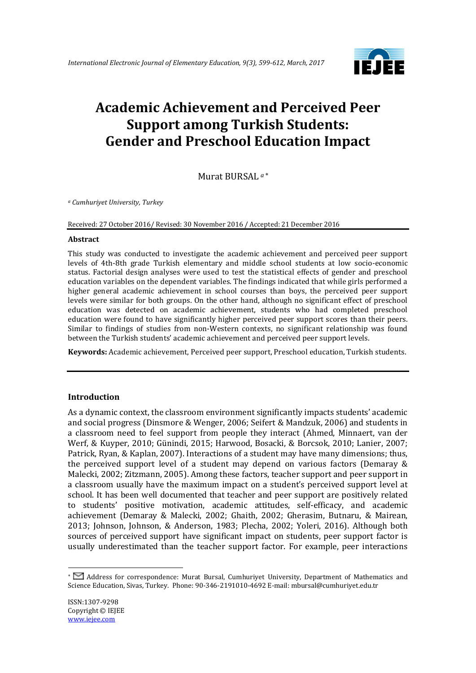

# **Academic Achievement and Perceived Peer Support among Turkish Students: Gender and Preschool Education Impact**

Murat BURSAL *<sup>a</sup>*

*<sup>a</sup> Cumhuriyet University, Turkey*

Received: 27 October 2016/ Revised: 30 November 2016 / Accepted: 21 December 2016

#### **Abstract**

This study was conducted to investigate the academic achievement and perceived peer support levels of 4th-8th grade Turkish elementary and middle school students at low socio-economic status. Factorial design analyses were used to test the statistical effects of gender and preschool education variables on the dependent variables. The findings indicated that while girls performed a higher general academic achievement in school courses than boys, the perceived peer support levels were similar for both groups. On the other hand, although no significant effect of preschool education was detected on academic achievement, students who had completed preschool education were found to have significantly higher perceived peer support scores than their peers. Similar to findings of studies from non-Western contexts, no significant relationship was found between the Turkish students' academic achievement and perceived peer support levels.

**Keywords:** Academic achievement, Perceived peer support, Preschool education, Turkish students.

#### **Introduction**

As a dynamic context, the classroom environment significantly impacts students' academic and social progress (Dinsmore & Wenger, 2006; Seifert & Mandzuk, 2006) and students in a classroom need to feel support from people they interact (Ahmed, Minnaert, van der Werf, & Kuyper, 2010; Günindi, 2015; Harwood, Bosacki, & Borcsok, 2010; Lanier, 2007; Patrick, Ryan, & Kaplan, 2007). Interactions of a student may have many dimensions; thus, the perceived support level of a student may depend on various factors (Demaray & Malecki, 2002; Zitzmann, 2005). Among these factors, teacher support and peer support in a classroom usually have the maximum impact on a student's perceived support level at school. It has been well documented that teacher and peer support are positively related to students' positive motivation, academic attitudes, self-efficacy, and academic achievement (Demaray & Malecki, 2002; Ghaith, 2002; Gherasim, Butnaru, & Mairean, 2013; Johnson, Johnson, & Anderson, 1983; Plecha, 2002; Yoleri, 2016). Although both sources of perceived support have significant impact on students, peer support factor is usually underestimated than the teacher support factor. For example, peer interactions

<u>.</u>

Address for correspondence: Murat Bursal, Cumhuriyet University, Department of Mathematics and Science Education, Sivas, Turkey. Phone: 90-346-2191010-4692 E-mail: mbursal@cumhuriyet.edu.tr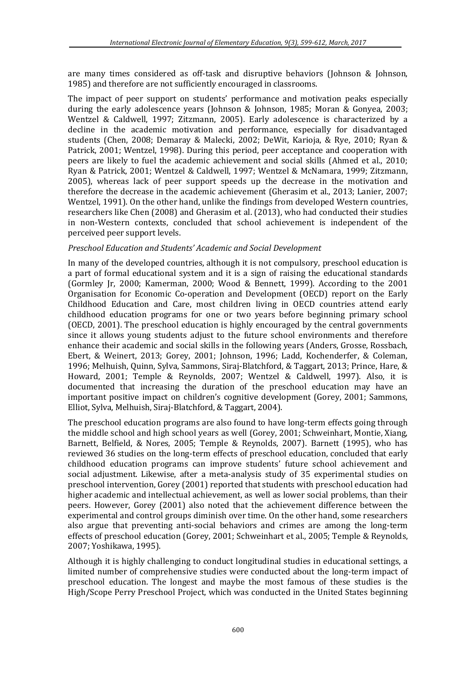are many times considered as off-task and disruptive behaviors (Johnson & Johnson, 1985) and therefore are not sufficiently encouraged in classrooms.

The impact of peer support on students' performance and motivation peaks especially during the early adolescence years (Johnson & Johnson, 1985; Moran & Gonyea, 2003; Wentzel & Caldwell, 1997; Zitzmann, 2005). Early adolescence is characterized by a decline in the academic motivation and performance, especially for disadvantaged students (Chen, 2008; Demaray & Malecki, 2002; DeWit, Karioja, & Rye, 2010; Ryan & Patrick, 2001; Wentzel, 1998). During this period, peer acceptance and cooperation with peers are likely to fuel the academic achievement and social skills (Ahmed et al., 2010; Ryan & Patrick, 2001; Wentzel & Caldwell, 1997; Wentzel & McNamara, 1999; Zitzmann, 2005), whereas lack of peer support speeds up the decrease in the motivation and therefore the decrease in the academic achievement (Gherasim et al., 2013; Lanier, 2007; Wentzel, 1991). On the other hand, unlike the findings from developed Western countries, researchers like Chen (2008) and Gherasim et al. (2013), who had conducted their studies in non-Western contexts, concluded that school achievement is independent of the perceived peer support levels.

# *Preschool Education and Students' Academic and Social Development*

In many of the developed countries, although it is not compulsory, preschool education is a part of formal educational system and it is a sign of raising the educational standards (Gormley Jr, 2000; Kamerman, 2000; Wood & Bennett, 1999). According to the 2001 Organisation for Economic Co-operation and Development (OECD) report on the Early Childhood Education and Care, most children living in OECD countries attend early childhood education programs for one or two years before beginning primary school (OECD, 2001). The preschool education is highly encouraged by the central governments since it allows young students adjust to the future school environments and therefore enhance their academic and social skills in the following years (Anders, Grosse, Rossbach, Ebert, & Weinert, 2013; Gorey, 2001; Johnson, 1996; Ladd, Kochenderfer, & Coleman, 1996; Melhuish, Quinn, Sylva, Sammons, Siraj-Blatchford, & Taggart, 2013; Prince, Hare, & Howard, 2001; Temple & Reynolds, 2007; Wentzel & Caldwell, 1997). Also, it is documented that increasing the duration of the preschool education may have an important positive impact on children's cognitive development (Gorey, 2001; Sammons, Elliot, Sylva, Melhuish, Siraj-Blatchford, & Taggart, 2004).

The preschool education programs are also found to have long-term effects going through the middle school and high school years as well (Gorey, 2001; Schweinhart, Montie, Xiang, Barnett, Belfield, & Nores, 2005; Temple & Reynolds, 2007). Barnett (1995), who has reviewed 36 studies on the long-term effects of preschool education, concluded that early childhood education programs can improve students' future school achievement and social adjustment. Likewise, after a meta-analysis study of 35 experimental studies on preschool intervention, Gorey (2001) reported that students with preschool education had higher academic and intellectual achievement, as well as lower social problems, than their peers. However, Gorey (2001) also noted that the achievement difference between the experimental and control groups diminish over time. On the other hand, some researchers also argue that preventing anti-social behaviors and crimes are among the long-term effects of preschool education (Gorey, 2001; Schweinhart et al., 2005; Temple & Reynolds, 2007; Yoshikawa, 1995).

Although it is highly challenging to conduct longitudinal studies in educational settings, a limited number of comprehensive studies were conducted about the long-term impact of preschool education. The longest and maybe the most famous of these studies is the High/Scope Perry Preschool Project, which was conducted in the United States beginning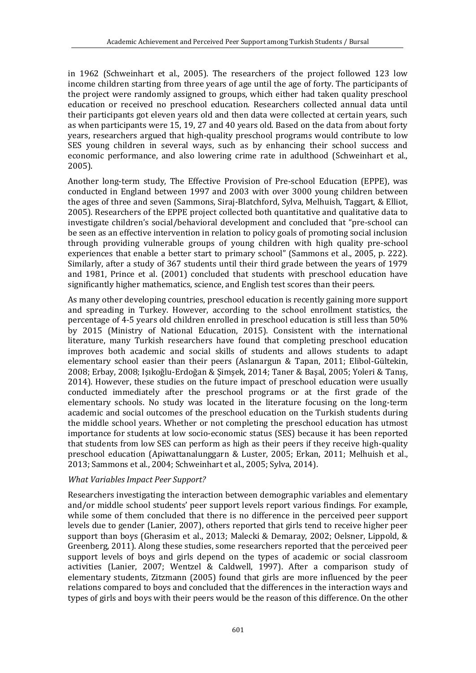in 1962 (Schweinhart et al., 2005). The researchers of the project followed 123 low income children starting from three years of age until the age of forty. The participants of the project were randomly assigned to groups, which either had taken quality preschool education or received no preschool education. Researchers collected annual data until their participants got eleven years old and then data were collected at certain years, such as when participants were 15, 19, 27 and 40 years old. Based on the data from about forty years, researchers argued that high-quality preschool programs would contribute to low SES young children in several ways, such as by enhancing their school success and economic performance, and also lowering crime rate in adulthood (Schweinhart et al., 2005).

Another long-term study, The Effective Provision of Pre-school Education (EPPE), was conducted in England between 1997 and 2003 with over 3000 young children between the ages of three and seven (Sammons, Siraj-Blatchford, Sylva, Melhuish, Taggart, & Elliot, 2005). Researchers of the EPPE project collected both quantitative and qualitative data to investigate children's social/behavioral development and concluded that "pre-school can be seen as an effective intervention in relation to policy goals of promoting social inclusion through providing vulnerable groups of young children with high quality pre-school experiences that enable a better start to primary school" (Sammons et al., 2005, p. 222). Similarly, after a study of 367 students until their third grade between the years of 1979 and 1981, Prince et al. (2001) concluded that students with preschool education have significantly higher mathematics, science, and English test scores than their peers.

As many other developing countries, preschool education is recently gaining more support and spreading in Turkey. However, according to the school enrollment statistics, the percentage of 4-5 years old children enrolled in preschool education is still less than 50% by 2015 (Ministry of National Education, 2015). Consistent with the international literature, many Turkish researchers have found that completing preschool education improves both academic and social skills of students and allows students to adapt elementary school easier than their peers (Aslanargun & Tapan, 2011; Elibol-Gültekin, 2008; Erbay, 2008; Işıkoğlu-Erdoğan & Şimşek, 2014; Taner & Başal, 2005; Yoleri & Tanış, 2014). However, these studies on the future impact of preschool education were usually conducted immediately after the preschool programs or at the first grade of the elementary schools. No study was located in the literature focusing on the long-term academic and social outcomes of the preschool education on the Turkish students during the middle school years. Whether or not completing the preschool education has utmost importance for students at low socio-economic status (SES) because it has been reported that students from low SES can perform as high as their peers if they receive high-quality preschool education (Apiwattanalunggarn & Luster, 2005; Erkan, 2011; Melhuish et al., 2013; Sammons et al., 2004; Schweinhart et al., 2005; Sylva, 2014).

#### *What Variables Impact Peer Support?*

Researchers investigating the interaction between demographic variables and elementary and/or middle school students' peer support levels report various findings. For example, while some of them concluded that there is no difference in the perceived peer support levels due to gender (Lanier, 2007), others reported that girls tend to receive higher peer support than boys (Gherasim et al., 2013; Malecki & Demaray, 2002; Oelsner, Lippold, & Greenberg, 2011). Along these studies, some researchers reported that the perceived peer support levels of boys and girls depend on the types of academic or social classroom activities (Lanier, 2007; Wentzel & Caldwell, 1997). After a comparison study of elementary students, Zitzmann (2005) found that girls are more influenced by the peer relations compared to boys and concluded that the differences in the interaction ways and types of girls and boys with their peers would be the reason of this difference. On the other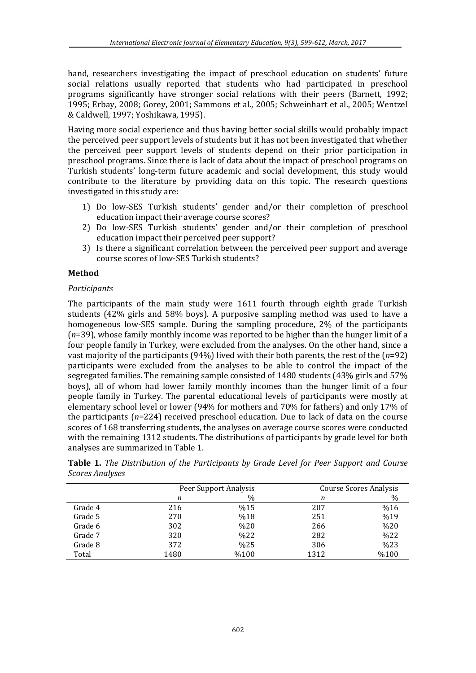hand, researchers investigating the impact of preschool education on students' future social relations usually reported that students who had participated in preschool programs significantly have stronger social relations with their peers (Barnett, 1992; 1995; Erbay, 2008; Gorey, 2001; Sammons et al., 2005; Schweinhart et al., 2005; Wentzel & Caldwell, 1997; Yoshikawa, 1995).

Having more social experience and thus having better social skills would probably impact the perceived peer support levels of students but it has not been investigated that whether the perceived peer support levels of students depend on their prior participation in preschool programs. Since there is lack of data about the impact of preschool programs on Turkish students' long-term future academic and social development, this study would contribute to the literature by providing data on this topic. The research questions investigated in this study are:

- 1) Do low-SES Turkish students' gender and/or their completion of preschool education impact their average course scores?
- 2) Do low-SES Turkish students' gender and/or their completion of preschool education impact their perceived peer support?
- 3) Is there a significant correlation between the perceived peer support and average course scores of low-SES Turkish students?

# **Method**

### *Participants*

The participants of the main study were 1611 fourth through eighth grade Turkish students (42% girls and 58% boys). A purposive sampling method was used to have a homogeneous low-SES sample. During the sampling procedure, 2% of the participants (*n*=39), whose family monthly income was reported to be higher than the hunger limit of a four people family in Turkey, were excluded from the analyses. On the other hand, since a vast majority of the participants (94%) lived with their both parents, the rest of the (*n*=92) participants were excluded from the analyses to be able to control the impact of the segregated families. The remaining sample consisted of 1480 students (43% girls and 57% boys), all of whom had lower family monthly incomes than the hunger limit of a four people family in Turkey. The parental educational levels of participants were mostly at elementary school level or lower (94% for mothers and 70% for fathers) and only 17% of the participants (*n*=224) received preschool education. Due to lack of data on the course scores of 168 transferring students, the analyses on average course scores were conducted with the remaining 1312 students. The distributions of participants by grade level for both analyses are summarized in Table 1.

|         | Peer Support Analysis |      | Course Scores Analysis |      |  |
|---------|-----------------------|------|------------------------|------|--|
|         | n                     | $\%$ | n                      | $\%$ |  |
| Grade 4 | 216                   | %15  | 207                    | %16  |  |
| Grade 5 | 270                   | %18  | 251                    | %19  |  |
| Grade 6 | 302                   | %20  | 266                    | %20  |  |
| Grade 7 | 320                   | %22  | 282                    | %22  |  |
| Grade 8 | 372                   | %25  | 306                    | %23  |  |
| Total   | 1480                  | %100 | 1312                   | %100 |  |

**Table 1.** *The Distribution of the Participants by Grade Level for Peer Support and Course Scores Analyses*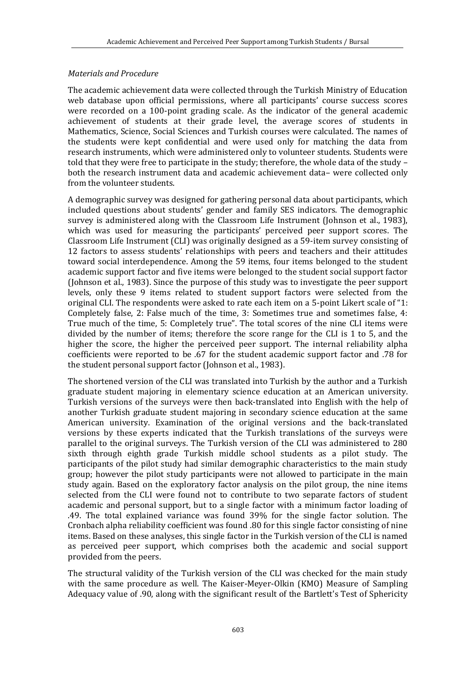### *Materials and Procedure*

The academic achievement data were collected through the Turkish Ministry of Education web database upon official permissions, where all participants' course success scores were recorded on a 100-point grading scale. As the indicator of the general academic achievement of students at their grade level, the average scores of students in Mathematics, Science, Social Sciences and Turkish courses were calculated. The names of the students were kept confidential and were used only for matching the data from research instruments, which were administered only to volunteer students. Students were told that they were free to participate in the study; therefore, the whole data of the study – both the research instrument data and academic achievement data– were collected only from the volunteer students.

A demographic survey was designed for gathering personal data about participants, which included questions about students' gender and family SES indicators. The demographic survey is administered along with the Classroom Life Instrument (Johnson et al., 1983), which was used for measuring the participants' perceived peer support scores. The Classroom Life Instrument (CLI) was originally designed as a 59-item survey consisting of 12 factors to assess students' relationships with peers and teachers and their attitudes toward social interdependence. Among the 59 items, four items belonged to the student academic support factor and five items were belonged to the student social support factor (Johnson et al., 1983). Since the purpose of this study was to investigate the peer support levels, only these 9 items related to student support factors were selected from the original CLI. The respondents were asked to rate each item on a 5-point Likert scale of "1: Completely false, 2: False much of the time, 3: Sometimes true and sometimes false, 4: True much of the time, 5: Completely true". The total scores of the nine CLI items were divided by the number of items; therefore the score range for the CLI is 1 to 5, and the higher the score, the higher the perceived peer support. The internal reliability alpha coefficients were reported to be .67 for the student academic support factor and .78 for the student personal support factor (Johnson et al., 1983).

The shortened version of the CLI was translated into Turkish by the author and a Turkish graduate student majoring in elementary science education at an American university. Turkish versions of the surveys were then back-translated into English with the help of another Turkish graduate student majoring in secondary science education at the same American university. Examination of the original versions and the back-translated versions by these experts indicated that the Turkish translations of the surveys were parallel to the original surveys. The Turkish version of the CLI was administered to 280 sixth through eighth grade Turkish middle school students as a pilot study. The participants of the pilot study had similar demographic characteristics to the main study group; however the pilot study participants were not allowed to participate in the main study again. Based on the exploratory factor analysis on the pilot group, the nine items selected from the CLI were found not to contribute to two separate factors of student academic and personal support, but to a single factor with a minimum factor loading of .49. The total explained variance was found 39% for the single factor solution. The Cronbach alpha reliability coefficient was found .80 for this single factor consisting of nine items. Based on these analyses, this single factor in the Turkish version of the CLI is named as perceived peer support, which comprises both the academic and social support provided from the peers.

The structural validity of the Turkish version of the CLI was checked for the main study with the same procedure as well. The Kaiser-Meyer-Olkin (KMO) Measure of Sampling Adequacy value of .90, along with the significant result of the Bartlett's Test of Sphericity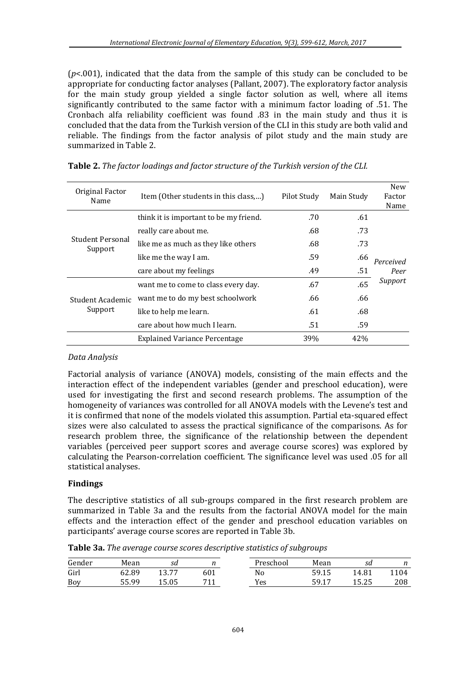(*p*<.001), indicated that the data from the sample of this study can be concluded to be appropriate for conducting factor analyses (Pallant, 2007). The exploratory factor analysis for the main study group yielded a single factor solution as well, where all items significantly contributed to the same factor with a minimum factor loading of .51. The Cronbach alfa reliability coefficient was found .83 in the main study and thus it is concluded that the data from the Turkish version of the CLI in this study are both valid and reliable. The findings from the factor analysis of pilot study and the main study are summarized in Table 2.

| Original Factor<br>Name            | Item (Other students in this class,)   | Pilot Study | Main Study | New<br>Factor<br>Name |
|------------------------------------|----------------------------------------|-------------|------------|-----------------------|
|                                    | think it is important to be my friend. | .70         | .61        |                       |
|                                    | really care about me.                  | .68         | .73        |                       |
| <b>Student Personal</b><br>Support | like me as much as they like others    | .68         | .73        |                       |
|                                    | like me the way I am.                  | .59         | .66        | Perceived             |
|                                    | care about my feelings                 | .49         | .51        | Peer                  |
| Student Academic<br>Support        | want me to come to class every day.    | .67         | .65        | Support               |
|                                    | want me to do my best schoolwork       | .66         | .66        |                       |
|                                    | like to help me learn.                 | .61         | .68        |                       |
|                                    | care about how much I learn.           | .51         | .59        |                       |
|                                    | <b>Explained Variance Percentage</b>   | 39%         | 42%        |                       |

|  | Table 2. The factor loadings and factor structure of the Turkish version of the CLI. |  |  |
|--|--------------------------------------------------------------------------------------|--|--|
|  |                                                                                      |  |  |

### *Data Analysis*

Factorial analysis of variance (ANOVA) models, consisting of the main effects and the interaction effect of the independent variables (gender and preschool education), were used for investigating the first and second research problems. The assumption of the homogeneity of variances was controlled for all ANOVA models with the Levene's test and it is confirmed that none of the models violated this assumption. Partial eta-squared effect sizes were also calculated to assess the practical significance of the comparisons. As for research problem three, the significance of the relationship between the dependent variables (perceived peer support scores and average course scores) was explored by calculating the Pearson-correlation coefficient. The significance level was used .05 for all statistical analyses.

# **Findings**

The descriptive statistics of all sub-groups compared in the first research problem are summarized in Table 3a and the results from the factorial ANOVA model for the main effects and the interaction effect of the gender and preschool education variables on participants' average course scores are reported in Table 3b.

**Table 3a.** *The average course scores descriptive statistics of subgroups* 

| Gender | Mean  | sa    |     | <sup>o</sup> reschool | Mean        | sd    |      |
|--------|-------|-------|-----|-----------------------|-------------|-------|------|
| Girl   | 62.89 | 13.77 | 601 | No                    | 59.15       | 14.81 | 104ء |
| Boy    | 55.99 | 15.05 | 711 | Yes                   | 59.17<br>17 | 15.25 | 208  |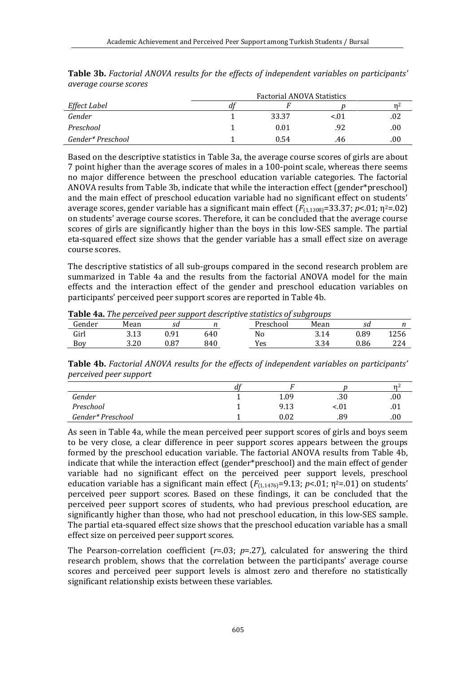|                   | <b>Factorial ANOVA Statistics</b> |       |          |      |  |  |
|-------------------|-----------------------------------|-------|----------|------|--|--|
| Effect Label      | dt                                |       |          | n۷   |  |  |
| Gender            |                                   | 33.37 | ${<}.01$ | .02  |  |  |
| Preschool         |                                   | 0.01  | .92      | .00  |  |  |
| Gender* Preschool |                                   | 0.54  | .46      | .00. |  |  |

**Table 3b.** *Factorial ANOVA results for the effects of independent variables on participants' average course scores*

Based on the descriptive statistics in Table 3a, the average course scores of girls are about 7 point higher than the average scores of males in a 100-point scale, whereas there seems no major difference between the preschool education variable categories. The factorial ANOVA results from Table 3b, indicate that while the interaction effect (gender\*preschool) and the main effect of preschool education variable had no significant effect on students' average scores, gender variable has a significant main effect  $(F_{(1,1308)}=33.37; p<.01; \eta^2=.02)$ on students' average course scores. Therefore, it can be concluded that the average course scores of girls are significantly higher than the boys in this low-SES sample. The partial eta-squared effect size shows that the gender variable has a small effect size on average course scores.

The descriptive statistics of all sub-groups compared in the second research problem are summarized in Table 4a and the results from the factorial ANOVA model for the main effects and the interaction effect of the gender and preschool education variables on participants' perceived peer support scores are reported in Table 4b.

|        |      |      |     | <b>Table 4a.</b> The perceived peer support descriptive statistics of subgroups |      |      |      |
|--------|------|------|-----|---------------------------------------------------------------------------------|------|------|------|
| Gender | Mean |      |     | Preschool                                                                       | Mean |      |      |
| Girl   | 3.13 | በ 91 | 640 | No                                                                              | 3.14 | 0.89 | 1256 |
| Boy    | 3.20 | 0.87 | 840 | Yes                                                                             | 3.34 | 0.86 | 224  |

**Table 4a.** *The perceived peer support descriptive statistics of subgroups* 

**Table 4b.** *Factorial ANOVA results for the effects of independent variables on participants' perceived peer support* 

|                   | u |            |      | n    |
|-------------------|---|------------|------|------|
| Gender            |   | 1.09       | .30  | .00  |
| Preschool         |   | 9.13       | <.01 | .U 1 |
| Gender* Preschool |   | $\rm 0.02$ | .89  | .00  |

As seen in Table 4a, while the mean perceived peer support scores of girls and boys seem to be very close, a clear difference in peer support scores appears between the groups formed by the preschool education variable. The factorial ANOVA results from Table 4b, indicate that while the interaction effect (gender\*preschool) and the main effect of gender variable had no significant effect on the perceived peer support levels, preschool education variable has a significant main effect  $(F_{(1,1476)}=9.13; p<0.01; n<sup>2</sup>=0.01)$  on students' perceived peer support scores. Based on these findings, it can be concluded that the perceived peer support scores of students, who had previous preschool education, are significantly higher than those, who had not preschool education, in this low-SES sample. The partial eta-squared effect size shows that the preschool education variable has a small effect size on perceived peer support scores.

The Pearson-correlation coefficient  $(r=0.03; p=.27)$ , calculated for answering the third research problem, shows that the correlation between the participants' average course scores and perceived peer support levels is almost zero and therefore no statistically significant relationship exists between these variables.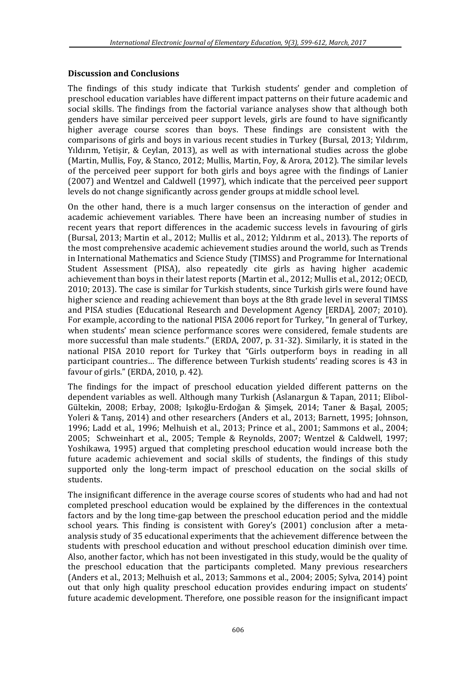#### **Discussion and Conclusions**

The findings of this study indicate that Turkish students' gender and completion of preschool education variables have different impact patterns on their future academic and social skills. The findings from the factorial variance analyses show that although both genders have similar perceived peer support levels, girls are found to have significantly higher average course scores than boys. These findings are consistent with the comparisons of girls and boys in various recent studies in Turkey (Bursal, 2013; Yıldırım, Yıldırım, Yetişir, & Ceylan, 2013), as well as with international studies across the globe (Martin, Mullis, Foy, & Stanco, 2012; Mullis, Martin, Foy, & Arora, 2012). The similar levels of the perceived peer support for both girls and boys agree with the findings of Lanier (2007) and Wentzel and Caldwell (1997), which indicate that the perceived peer support levels do not change significantly across gender groups at middle school level.

On the other hand, there is a much larger consensus on the interaction of gender and academic achievement variables. There have been an increasing number of studies in recent years that report differences in the academic success levels in favouring of girls (Bursal, 2013; Martin et al., 2012; Mullis et al., 2012; Yıldırım et al., 2013). The reports of the most comprehensive academic achievement studies around the world, such as Trends in International Mathematics and Science Study (TIMSS) and Programme for International Student Assessment (PISA), also repeatedly cite girls as having higher academic achievement than boys in their latest reports (Martin et al., 2012; Mullis et al., 2012; OECD, 2010; 2013). The case is similar for Turkish students, since Turkish girls were found have higher science and reading achievement than boys at the 8th grade level in several TIMSS and PISA studies (Educational Research and Development Agency [ERDA], 2007; 2010). For example, according to the national PISA 2006 report for Turkey, "In general of Turkey, when students' mean science performance scores were considered, female students are more successful than male students." (ERDA, 2007, p. 31-32). Similarly, it is stated in the national PISA 2010 report for Turkey that "Girls outperform boys in reading in all participant countries… The difference between Turkish students' reading scores is 43 in favour of girls." (ERDA, 2010, p. 42).

The findings for the impact of preschool education yielded different patterns on the dependent variables as well. Although many Turkish (Aslanargun & Tapan, 2011; Elibol-Gültekin, 2008; Erbay, 2008; Işıkoğlu-Erdoğan & Şimşek, 2014; Taner & Başal, 2005; Yoleri & Tanış, 2014) and other researchers (Anders et al., 2013; Barnett, 1995; Johnson, 1996; Ladd et al., 1996; Melhuish et al., 2013; Prince et al., 2001; Sammons et al., 2004; 2005; Schweinhart et al., 2005; Temple & Reynolds, 2007; Wentzel & Caldwell, 1997; Yoshikawa, 1995) argued that completing preschool education would increase both the future academic achievement and social skills of students, the findings of this study supported only the long-term impact of preschool education on the social skills of students.

The insignificant difference in the average course scores of students who had and had not completed preschool education would be explained by the differences in the contextual factors and by the long time-gap between the preschool education period and the middle school years. This finding is consistent with Gorey's (2001) conclusion after a metaanalysis study of 35 educational experiments that the achievement difference between the students with preschool education and without preschool education diminish over time. Also, another factor, which has not been investigated in this study, would be the quality of the preschool education that the participants completed. Many previous researchers (Anders et al., 2013; Melhuish et al., 2013; Sammons et al., 2004; 2005; Sylva, 2014) point out that only high quality preschool education provides enduring impact on students' future academic development. Therefore, one possible reason for the insignificant impact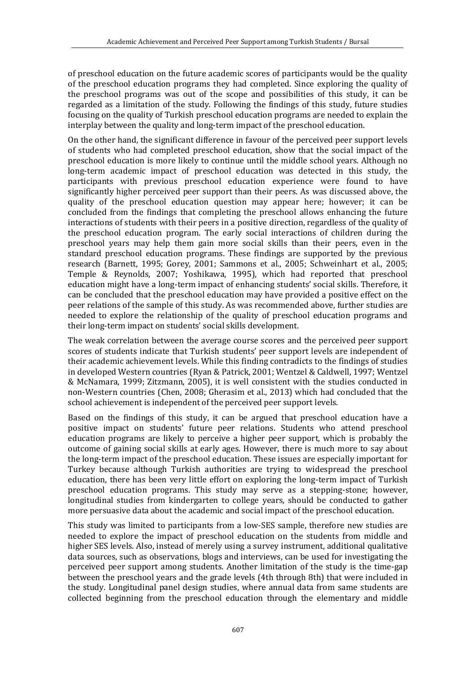of preschool education on the future academic scores of participants would be the quality of the preschool education programs they had completed. Since exploring the quality of the preschool programs was out of the scope and possibilities of this study, it can be regarded as a limitation of the study. Following the findings of this study, future studies focusing on the quality of Turkish preschool education programs are needed to explain the interplay between the quality and long-term impact of the preschool education.

On the other hand, the significant difference in favour of the perceived peer support levels of students who had completed preschool education, show that the social impact of the preschool education is more likely to continue until the middle school years. Although no long-term academic impact of preschool education was detected in this study, the participants with previous preschool education experience were found to have significantly higher perceived peer support than their peers. As was discussed above, the quality of the preschool education question may appear here; however; it can be concluded from the findings that completing the preschool allows enhancing the future interactions of students with their peers in a positive direction, regardless of the quality of the preschool education program. The early social interactions of children during the preschool years may help them gain more social skills than their peers, even in the standard preschool education programs. These findings are supported by the previous research (Barnett, 1995; Gorey, 2001; Sammons et al., 2005; Schweinhart et al., 2005; Temple & Reynolds, 2007; Yoshikawa, 1995), which had reported that preschool education might have a long-term impact of enhancing students' social skills. Therefore, it can be concluded that the preschool education may have provided a positive effect on the peer relations of the sample of this study. As was recommended above, further studies are needed to explore the relationship of the quality of preschool education programs and their long-term impact on students' social skills development.

The weak correlation between the average course scores and the perceived peer support scores of students indicate that Turkish students' peer support levels are independent of their academic achievement levels. While this finding contradicts to the findings of studies in developed Western countries (Ryan & Patrick, 2001; Wentzel & Caldwell, 1997; Wentzel & McNamara, 1999; Zitzmann, 2005), it is well consistent with the studies conducted in non-Western countries (Chen, 2008; Gherasim et al., 2013) which had concluded that the school achievement is independent of the perceived peer support levels.

Based on the findings of this study, it can be argued that preschool education have a positive impact on students' future peer relations. Students who attend preschool education programs are likely to perceive a higher peer support, which is probably the outcome of gaining social skills at early ages. However, there is much more to say about the long-term impact of the preschool education. These issues are especially important for Turkey because although Turkish authorities are trying to widespread the preschool education, there has been very little effort on exploring the long-term impact of Turkish preschool education programs. This study may serve as a stepping-stone; however, longitudinal studies from kindergarten to college years, should be conducted to gather more persuasive data about the academic and social impact of the preschool education.

This study was limited to participants from a low-SES sample, therefore new studies are needed to explore the impact of preschool education on the students from middle and higher SES levels. Also, instead of merely using a survey instrument, additional qualitative data sources, such as observations, blogs and interviews, can be used for investigating the perceived peer support among students. Another limitation of the study is the time-gap between the preschool years and the grade levels (4th through 8th) that were included in the study. Longitudinal panel design studies, where annual data from same students are collected beginning from the preschool education through the elementary and middle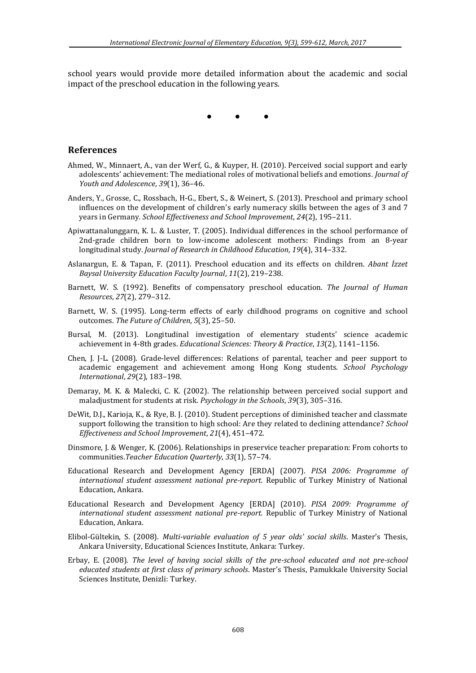school years would provide more detailed information about the academic and social impact of the preschool education in the following years.

• • •

#### **References**

- Ahmed, W., Minnaert, A., van der Werf, G., & Kuyper, H. (2010). Perceived social support and early adolescents' achievement: The mediational roles of motivational beliefs and emotions*. Journal of Youth and Adolescence*, *39*(1), 36–46.
- Anders, Y., Grosse, C., Rossbach, H-G., Ebert, S., & Weinert, S. (2013). Preschool and primary school influences on the development of children's early numeracy skills between the ages of 3 and 7 years in Germany*. School Effectiveness and School Improvement*, *24*(2), 195–211.
- Apiwattanalunggarn, K. L. & Luster, T. (2005). Individual differences in the school performance of 2nd-grade children born to low-income adolescent mothers: Findings from an 8-year longitudinal study. *Journal of Research in Childhood Education*, *19*(4), 314–332.
- Aslanargun, E. & Tapan, F. (2011). Preschool education and its effects on children. *Abant İzzet Baysal University Education Faculty Journal*, *11*(2), 219–238.
- Barnett, W. S. (1992). Benefits of compensatory preschool education. *The Journal of Human Resources*, *27*(2), 279–312.
- Barnett, W. S. (1995). Long-term effects of early childhood programs on cognitive and school outcomes. *The Future of Children*, *5*(3), 25–50.
- Bursal, M. (2013). Longitudinal investigation of elementary students' science academic achievement in 4-8th grades. *Educational Sciences: Theory & Practice*, *13*(2), 1141–1156.
- Chen, J. J-L. (2008). Grade-level differences: Relations of parental, teacher and peer support to academic engagement and achievement among Hong Kong students. *School Psychology International*, *29*(2), 183–198.
- Demaray, M. K. & Malecki, C. K. (2002). The relationship between perceived social support and maladjustment for students at risk*. Psychology in the Schools*, *39*(3), 305–316.
- DeWit, D.J., Karioja, K., & Rye, B. J. (2010). Student perceptions of diminished teacher and classmate support following the transition to high school: Are they related to declining attendance? *School Effectiveness and School Improvement*, *21*(4), 451–472.
- Dinsmore, J. & Wenger, K. (2006). Relationships in preservice teacher preparation: From cohorts to communities.*Teacher Education Quarterly*, *33*(1), 57–74.
- Educational Research and Development Agency [ERDA] (2007). *PISA 2006: Programme of international student assessment national pre-report.* Republic of Turkey Ministry of National Education, Ankara.
- Educational Research and Development Agency [ERDA] (2010). *PISA 2009: Programme of international student assessment national pre-report.* Republic of Turkey Ministry of National Education, Ankara.
- Elibol-Gültekin, S. (2008). *Multi-variable evaluation of 5 year olds' social skills*. Master's Thesis, Ankara University, Educational Sciences Institute, Ankara: Turkey.
- Erbay, E. (2008). *The level of having social skills of the pre-school educated and not pre-school educated students at first class of primary schools*. Master's Thesis, Pamukkale University Social Sciences Institute, Denizli: Turkey.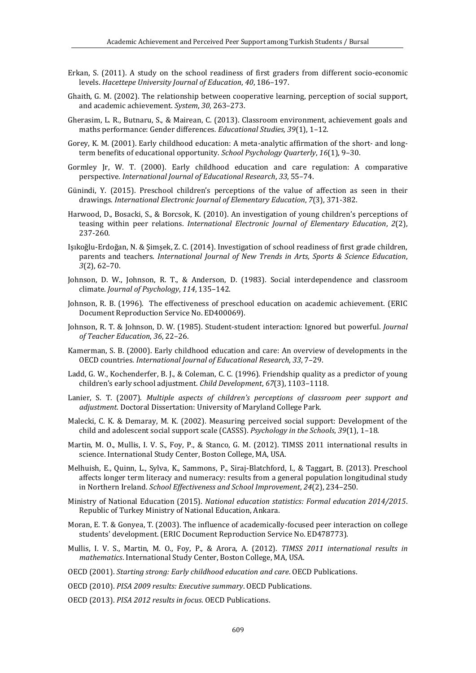- Erkan, S. (2011). A study on the school readiness of first graders from different socio-economic levels. *Hacettepe University Journal of Education*, *40*, 186–197.
- Ghaith, G. M. (2002). The relationship between cooperative learning, perception of social support, and academic achievement. *System*, *30*, 263–273.
- Gherasim, L. R., Butnaru, S., & Mairean, C. (2013). Classroom environment, achievement goals and maths performance: Gender differences*. Educational Studies, 39*(1), 1–12.
- Gorey, K. M. (2001). Early childhood education: A meta-analytic affirmation of the short- and longterm benefits of educational opportunity. *School Psychology Quarterly*, *16*(1), 9–30.
- Gormley Jr, W. T. (2000). Early childhood education and care regulation: A comparative perspective*. International Journal of Educational Research*, *33*, 55–74.
- Günindi, Y. (2015). Preschool children's perceptions of the value of affection as seen in their drawings*. International Electronic Journal of Elementary Education*, *7*(3), 371-382.
- Harwood, D., Bosacki, S., & Borcsok, K. (2010). An investigation of young children's perceptions of teasing within peer relations. *International Electronic Journal of Elementary Education*, *2*(2), 237-260.
- Işıkoğlu-Erdoğan, N. & Şimşek, Z. C. (2014). Investigation of school readiness of first grade children, parents and teachers. *International Journal of New Trends in Arts, Sports & Science Education*, *3*(2), 62–70.
- Johnson, D. W., Johnson, R. T., & Anderson, D. (1983). Social interdependence and classroom climate. *Journal of Psychology*, *114*, 135–142.
- Johnson, R. B. (1996). The effectiveness of preschool education on academic achievement. (ERIC Document Reproduction Service No. ED400069).
- Johnson, R. T. & Johnson, D. W. (1985). Student-student interaction: Ignored but powerful. *Journal of Teacher Education*, *36*, 22–26.
- Kamerman, S. B. (2000). Early childhood education and care: An overview of developments in the OECD countries*. International Journal of Educational Research*, *33*, 7–29.
- Ladd, G. W., Kochenderfer, B. J., & Coleman, C. C. (1996). Friendship quality as a predictor of young children's early school adjustment. *Child Development*, *67*(3), 1103–1118.
- Lanier, S. T. (2007). *Multiple aspects of children's perceptions of classroom peer support and adjustment*. Doctoral Dissertation: University of Maryland College Park.
- Malecki, C. K. & Demaray, M. K. (2002). Measuring perceived social support: Development of the child and adolescent social support scale (CASSS). *Psychology in the Schools*, *39*(1), 1–18.
- Martin, M. O., Mullis, I. V. S., Foy, P., & Stanco, G. M. (2012). TIMSS 2011 international results in science. International Study Center, Boston College, MA, USA.
- Melhuish, E., Quinn, L., Sylva, K., Sammons, P., Siraj-Blatchford, I., & Taggart, B. (2013). Preschool affects longer term literacy and numeracy: results from a general population longitudinal study in Northern Ireland. *School Effectiveness and School Improvement*, *24*(2), 234–250.
- Ministry of National Education (2015). *National education statistics: Formal education 2014/2015*. Republic of Turkey Ministry of National Education, Ankara.
- Moran, E. T. & Gonyea, T. (2003). The influence of academically-focused peer interaction on college students' development. (ERIC Document Reproduction Service No. ED478773).
- Mullis, I. V. S., Martin, M. O., Foy, P., & Arora, A. (2012). *TIMSS 2011 international results in mathematics*. International Study Center, Boston College, MA, USA.

OECD (2001). *Starting strong: Early childhood education and care*. OECD Publications.

- OECD (2010). *PISA 2009 results: Executive summary*. OECD Publications.
- OECD (2013). *PISA 2012 results in focus*. OECD Publications.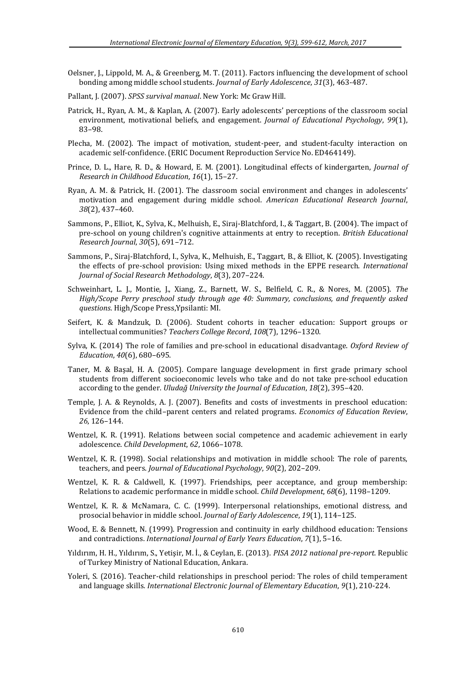- Oelsner, J., Lippold, M. A., & Greenberg, M. T. (2011). Factors influencing the development of school bonding among middle school students. *Journal of Early Adolescence*, *31*(3), 463-487.
- Pallant, J. (2007). *SPSS survival manual*. New York: Mc Graw Hill.
- Patrick, H., Ryan, A. M., & Kaplan, A. (2007). Early adolescents' perceptions of the classroom social environment, motivational beliefs, and engagement. *Journal of Educational Psychology*, *99*(1), 83–98.
- Plecha, M. (2002). The impact of motivation, student-peer, and student-faculty interaction on academic self-confidence. (ERIC Document Reproduction Service No. ED464149).
- Prince, D. L., Hare, R. D., & Howard, E. M. (2001). Longitudinal effects of kindergarten, *Journal of Research in Childhood Education*, *16*(1), 15–27.
- Ryan, A. M. & Patrick, H. (2001). The classroom social environment and changes in adolescents' motivation and engagement during middle school. *American Educational Research Journal*, *38*(2), 437–460.
- Sammons, P., Elliot, K., Sylva, K., Melhuish, E., Siraj-Blatchford, I., & Taggart, B. (2004). The impact of pre-school on young children's cognitive attainments at entry to reception. *British Educational Research Journal*, *30*(5), 691–712.
- Sammons, P., Siraj-Blatchford, I., Sylva, K., Melhuish, E., Taggart, B., & Elliot, K. (2005). Investigating the effects of pre-school provision: Using mixed methods in the EPPE research. *International Journal of Social Research Methodology*, *8*(3), 207–224.
- Schweinhart, L. J., Montie, J., Xiang, Z., Barnett, W. S., Belfield, C. R., & Nores, M. (2005). *The High/Scope Perry preschool study through age 40: Summary, conclusions, and frequently asked questions*. High/Scope Press,Ypsilanti: MI.
- Seifert, K. & Mandzuk, D. (2006). Student cohorts in teacher education: Support groups or intellectual communities? *Teachers College Record*, *108*(7), 1296–1320.
- Sylva, K. (2014) The role of families and pre-school in educational disadvantage. *Oxford Review of Education*, *40*(6), 680–695.
- Taner, M. & Başal, H. A. (2005). Compare language development in first grade primary school students from different socioeconomic levels who take and do not take pre-school education according to the gender. *Uludağ University the Journal of Education*, *18*(2), 395–420.
- Temple, J. A. & Reynolds, A. J. (2007). Benefits and costs of investments in preschool education: Evidence from the child–parent centers and related programs. *Economics of Education Review*, *26*, 126–144.
- Wentzel, K. R. (1991). Relations between social competence and academic achievement in early adolescence. *Child Development*, *62*, 1066–1078.
- Wentzel, K. R. (1998). Social relationships and motivation in middle school: The role of parents, teachers, and peers. *Journal of Educational Psychology*, *90*(2), 202–209.
- Wentzel, K. R. & Caldwell, K. (1997). Friendships, peer acceptance, and group membership: Relations to academic performance in middle school. *Child Development*, *68*(6), 1198–1209.
- Wentzel, K. R. & McNamara, C. C. (1999). Interpersonal relationships, emotional distress, and prosocial behavior in middle school. *Journal of Early Adolescence*, *19*(1), 114–125.
- Wood, E. & Bennett, N. (1999). Progression and continuity in early childhood education: Tensions and contradictions. *International Journal of Early Years Education*, *7*(1), 5–16.
- Yıldırım, H. H., Yıldırım, S., Yetişir, M. İ., & Ceylan, E. (2013). *PISA 2012 national pre-report.* Republic of Turkey Ministry of National Education, Ankara.
- Yoleri, S. (2016). Teacher-child relationships in preschool period: The roles of child temperament and language skills*. International Electronic Journal of Elementary Education*, *9*(1), 210-224.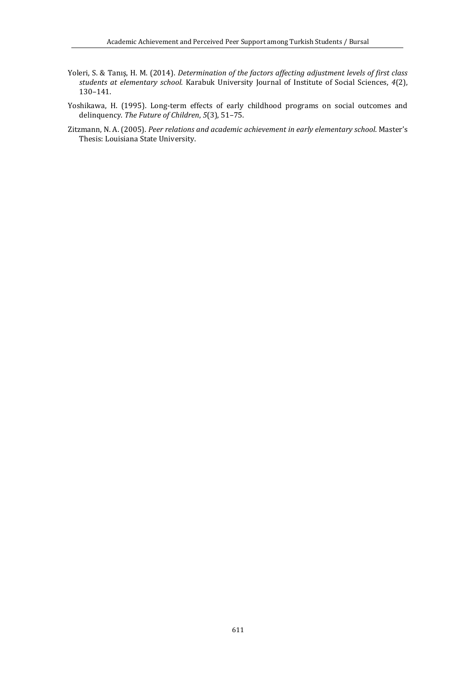- Yoleri, S. & Tanış, H. M. (2014). *Determination of the factors affecting adjustment levels of first class students at elementary school.* Karabuk University Journal of Institute of Social Sciences, *4*(2), 130–141.
- Yoshikawa, H. (1995). Long-term effects of early childhood programs on social outcomes and delinquency. *The Future of Children*, *5*(3), 51–75.
- Zitzmann, N. A. (2005). *Peer relations and academic achievement in early elementary school*. Master's Thesis: Louisiana State University.